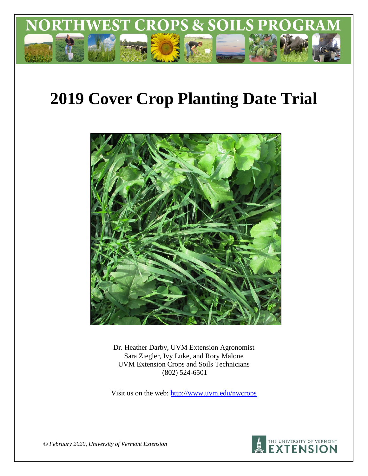

# **2019 Cover Crop Planting Date Trial**



Dr. Heather Darby, UVM Extension Agronomist Sara Ziegler, Ivy Luke, and Rory Malone UVM Extension Crops and Soils Technicians (802) 524-6501

Visit us on the web: http://www.uvm.edu/nwcrops



*© February 2020, University of Vermont Extension*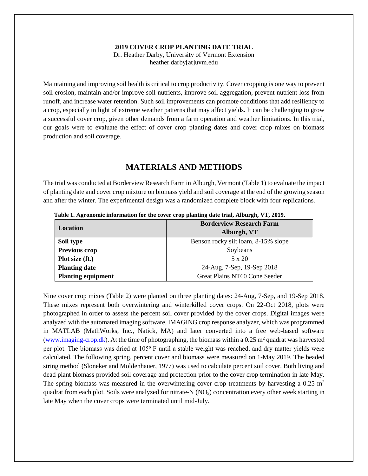## **2019 COVER CROP PLANTING DATE TRIAL**

Dr. Heather Darby, University of Vermont Extension heather.darby[at]uvm.edu

Maintaining and improving soil health is critical to crop productivity. Cover cropping is one way to prevent soil erosion, maintain and/or improve soil nutrients, improve soil aggregation, prevent nutrient loss from runoff, and increase water retention. Such soil improvements can promote conditions that add resiliency to a crop, especially in light of extreme weather patterns that may affect yields. It can be challenging to grow a successful cover crop, given other demands from a farm operation and weather limitations. In this trial, our goals were to evaluate the effect of cover crop planting dates and cover crop mixes on biomass production and soil coverage.

## **MATERIALS AND METHODS**

The trial was conducted at Borderview Research Farm in Alburgh, Vermont (Table 1) to evaluate the impact of planting date and cover crop mixture on biomass yield and soil coverage at the end of the growing season and after the winter. The experimental design was a randomized complete block with four replications.

| Location                  | <b>Borderview Research Farm</b>     |
|---------------------------|-------------------------------------|
|                           | Alburgh, VT                         |
| Soil type                 | Benson rocky silt loam, 8-15% slope |
| Previous crop             | Soybeans                            |
| Plot size (ft.)           | $5 \times 20$                       |
| <b>Planting date</b>      | 24-Aug, 7-Sep, 19-Sep 2018          |
| <b>Planting equipment</b> | Great Plains NT60 Cone Seeder       |

**Table 1. Agronomic information for the cover crop planting date trial, Alburgh, VT, 2019.**

Nine cover crop mixes (Table 2) were planted on three planting dates: 24-Aug, 7-Sep, and 19-Sep 2018. These mixes represent both overwintering and winterkilled cover crops. On 22-Oct 2018, plots were photographed in order to assess the percent soil cover provided by the cover crops. Digital images were analyzed with the automated imaging software, IMAGING crop response analyzer, which was programmed in MATLAB (MathWorks, Inc., Natick, MA) and later converted into a free web-based software [\(www.imaging-crop.dk\)](http://www.imaging-crop.dk/). At the time of photographing, the biomass within a  $0.25 \text{ m}^2$  quadrat was harvested per plot. The biomass was dried at 105<sup>o</sup> F until a stable weight was reached, and dry matter yields were calculated. The following spring, percent cover and biomass were measured on 1-May 2019. The beaded string method (Sloneker and Moldenhauer, 1977) was used to calculate percent soil cover. Both living and dead plant biomass provided soil coverage and protection prior to the cover crop termination in late May. The spring biomass was measured in the overwintering cover crop treatments by harvesting a 0.25 m<sup>2</sup> quadrat from each plot. Soils were analyzed for nitrate-N  $(NO<sub>3</sub>)$  concentration every other week starting in late May when the cover crops were terminated until mid-July.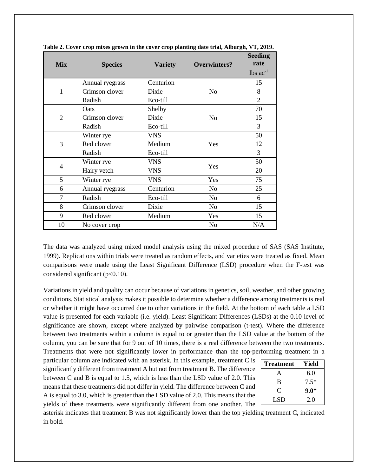| <b>Mix</b>   | <b>Species</b>  | <b>Variety</b> | <b>Overwinters?</b> | <b>Seeding</b><br>rate |
|--------------|-----------------|----------------|---------------------|------------------------|
|              |                 |                |                     | $lbs$ $ac^{-1}$        |
|              | Annual ryegrass | Centurion      |                     | 15                     |
| $\mathbf{1}$ | Crimson clover  | Dixie          | N <sub>o</sub>      | 8                      |
|              | Radish          | Eco-till       |                     | 2                      |
|              | Oats            | Shelby         |                     | 70                     |
| 2            | Crimson clover  | Dixie          | N <sub>o</sub>      | 15                     |
|              | Radish          | Eco-till       |                     | 3                      |
|              | Winter rye      | <b>VNS</b>     |                     | 50                     |
| 3            | Red clover      | Medium         | Yes                 | 12                     |
|              | Radish          | Eco-till       |                     | 3                      |
|              | Winter rye      | <b>VNS</b>     |                     | 50                     |
| 4            | Hairy vetch     | <b>VNS</b>     | Yes                 | 20                     |
| 5            | Winter rye      | <b>VNS</b>     | Yes                 | 75                     |
| 6            | Annual ryegrass | Centurion      | N <sub>0</sub>      | 25                     |
| 7            | Radish          | Eco-till       | No                  | 6                      |
| 8            | Crimson clover  | Dixie          | N <sub>o</sub>      | 15                     |
| 9            | Red clover      | Medium         | Yes                 | 15                     |
| 10           | No cover crop   |                | No                  | N/A                    |

**Table 2. Cover crop mixes grown in the cover crop planting date trial, Alburgh, VT, 2019.**

The data was analyzed using mixed model analysis using the mixed procedure of SAS (SAS Institute, 1999). Replications within trials were treated as random effects, and varieties were treated as fixed. Mean comparisons were made using the Least Significant Difference (LSD) procedure when the F-test was considered significant ( $p<0.10$ ).

Variations in yield and quality can occur because of variations in genetics, soil, weather, and other growing conditions. Statistical analysis makes it possible to determine whether a difference among treatments is real or whether it might have occurred due to other variations in the field. At the bottom of each table a LSD value is presented for each variable (i.e. yield). Least Significant Differences (LSDs) at the 0.10 level of significance are shown, except where analyzed by pairwise comparison (t-test). Where the difference between two treatments within a column is equal to or greater than the LSD value at the bottom of the column, you can be sure that for 9 out of 10 times, there is a real difference between the two treatments. Treatments that were not significantly lower in performance than the top-performing treatment in a

particular column are indicated with an asterisk. In this example, treatment C is significantly different from treatment A but not from treatment B. The difference between C and B is equal to 1.5, which is less than the LSD value of 2.0. This means that these treatments did not differ in yield. The difference between C and A is equal to 3.0, which is greater than the LSD value of 2.0. This means that the yields of these treatments were significantly different from one another. The

| <b>Treatment</b> | Yield  |
|------------------|--------|
| A                | 6.0    |
| B                | $7.5*$ |
| ⊖                | $9.0*$ |
| LSD              | 2.0    |

asterisk indicates that treatment B was not significantly lower than the top yielding treatment C, indicated in bold.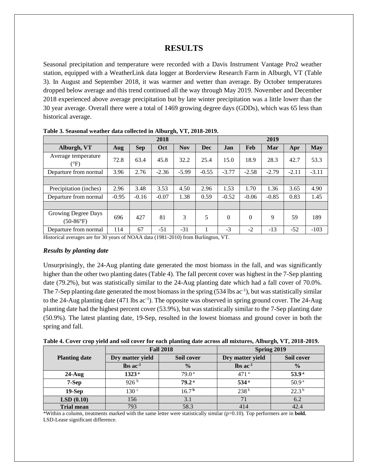# **RESULTS**

Seasonal precipitation and temperature were recorded with a Davis Instrument Vantage Pro2 weather station, equipped with a WeatherLink data logger at Borderview Research Farm in Alburgh, VT (Table 3). In August and September 2018, it was warmer and wetter than average. By October temperatures dropped below average and this trend continued all the way through May 2019. November and December 2018 experienced above average precipitation but by late winter precipitation was a little lower than the 30 year average. Overall there were a total of 1469 growing degree days (GDDs), which was 65 less than historical average.

|                                           |         |            | 2018    |            |            |            |            | 2019    |         |            |
|-------------------------------------------|---------|------------|---------|------------|------------|------------|------------|---------|---------|------------|
| Alburgh, VT                               | Aug     | <b>Sep</b> | Oct     | <b>Nov</b> | <b>Dec</b> | <b>Jan</b> | <b>Feb</b> | Mar     | Apr     | <b>May</b> |
| Average temperature<br>$(^{\circ}F)$      | 72.8    | 63.4       | 45.8    | 32.2       | 25.4       | 15.0       | 18.9       | 28.3    | 42.7    | 53.3       |
| Departure from normal                     | 3.96    | 2.76       | $-2.36$ | $-5.99$    | $-0.55$    | $-3.77$    | $-2.58$    | $-2.79$ | $-2.11$ | $-3.11$    |
|                                           |         |            |         |            |            |            |            |         |         |            |
| Precipitation (inches)                    | 2.96    | 3.48       | 3.53    | 4.50       | 2.96       | 1.53       | 1.70       | 1.36    | 3.65    | 4.90       |
| Departure from normal                     | $-0.95$ | $-0.16$    | $-0.07$ | 1.38       | 0.59       | $-0.52$    | $-0.06$    | $-0.85$ | 0.83    | 1.45       |
|                                           |         |            |         |            |            |            |            |         |         |            |
| Growing Degree Days<br>$(50-86^{\circ}F)$ | 696     | 427        | 81      | 3          | 5          | $\Omega$   | $\Omega$   | 9       | 59      | 189        |
| Departure from normal                     | 114     | 67         | $-51$   | $-31$      |            | $-3$       | $-2$       | $-13$   | $-52$   | $-103$     |

**Table 3. Seasonal weather data collected in Alburgh, VT, 2018-2019.**

Historical averages are for 30 years of NOAA data (1981-2010) from Burlington, VT.

#### *Results by planting date*

Unsurprisingly, the 24-Aug planting date generated the most biomass in the fall, and was significantly higher than the other two planting dates (Table 4). The fall percent cover was highest in the 7-Sep planting date (79.2%), but was statistically similar to the 24-Aug planting date which had a fall cover of 70.0%. The 7-Sep planting date generated the most biomass in the spring  $(534 \text{ lbs} ac^{-1})$ , but was statistically similar to the 24-Aug planting date  $(471 \text{ lbs} ac^{-1})$ . The opposite was observed in spring ground cover. The 24-Aug planting date had the highest percent cover (53.9%), but was statistically similar to the 7-Sep planting date (50.9%). The latest planting date, 19-Sep, resulted in the lowest biomass and ground cover in both the spring and fall.

|  | Table 4. Cover crop yield and soil cover for each planting date across all mixtures, Alburgh, VT, 2018-2019. |  |
|--|--------------------------------------------------------------------------------------------------------------|--|
|  |                                                                                                              |  |

|                      |                               | <b>Fall 2018</b>  | Spring 2019              |                   |  |  |
|----------------------|-------------------------------|-------------------|--------------------------|-------------------|--|--|
| <b>Planting date</b> | Dry matter yield              | Soil cover        | Dry matter yield         | Soil cover        |  |  |
|                      | $\text{lbs}$ ac <sup>-1</sup> | $\frac{0}{0}$     | $\ln$ s ac <sup>-1</sup> | $\frac{0}{0}$     |  |  |
| $24$ -Aug            | 1323 <sup>a</sup>             | 79.0 <sup>a</sup> | 471 <sup>a</sup>         | 53.9 <sup>a</sup> |  |  |
| 7-Sep                | 926 <sup>b</sup>              | 79.2 <sup>a</sup> | 534 <sup>a</sup>         | 50.9 <sup>a</sup> |  |  |
| $19-Sep$             | 130 <sup>c</sup>              | 16.7 <sup>b</sup> | 238 <sup>b</sup>         | $22.3^{b}$        |  |  |
| LSD(0.10)            | 156                           | 3.1               |                          | 6.2               |  |  |
| <b>Trial mean</b>    | 793                           | 58.3              | 414                      | 42.4              |  |  |

\*Within a column, treatments marked with the same letter were statistically similar (p=0.10). Top performers are in **bold.** LSD-Lease significant difference.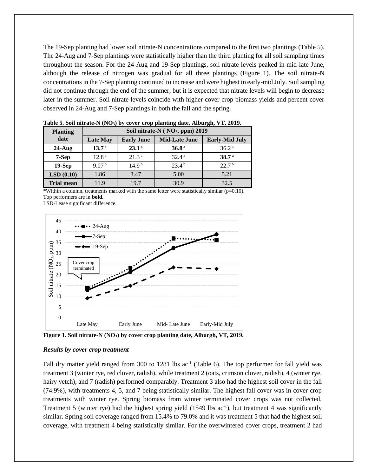The 19-Sep planting had lower soil nitrate-N concentrations compared to the first two plantings (Table 5). The 24-Aug and 7-Sep plantings were statistically higher than the third planting for all soil sampling times throughout the season. For the 24-Aug and 19-Sep plantings, soil nitrate levels peaked in mid-late June, although the release of nitrogen was gradual for all three plantings (Figure 1). The soil nitrate-N concentrationsin the 7-Sep planting continued to increase and were highest in early-mid July. Soil sampling did not continue through the end of the summer, but it is expected that nitrate levels will begin to decrease later in the summer. Soil nitrate levels coincide with higher cover crop biomass yields and percent cover observed in 24-Aug and 7-Sep plantings in both the fall and the spring.

| <b>Planting</b>   | Soil nitrate-N (NO <sub>3</sub> , ppm) 2019 |                   |                      |                       |  |  |  |
|-------------------|---------------------------------------------|-------------------|----------------------|-----------------------|--|--|--|
| date              | <b>Late May</b>                             | <b>Early June</b> | <b>Mid-Late June</b> | <b>Early-Mid July</b> |  |  |  |
| $24$ -Aug         | 13.7 <sup>a</sup>                           | 23.1 <sup>a</sup> | 36.8 <sup>a</sup>    | 36.2 <sup>a</sup>     |  |  |  |
| 7-Sep             | 12.8 <sup>a</sup>                           | 21.3 <sup>a</sup> | 32.4 <sup>a</sup>    | 38.7 <sup>a</sup>     |  |  |  |
| $19-Sep$          | 9.07 <sup>b</sup>                           | 14.9 <sup>b</sup> | 23.4 <sup>b</sup>    | 22.7 <sup>b</sup>     |  |  |  |
| LSD(0.10)         | 1.86                                        | 3.47              | 5.00                 | 5.21                  |  |  |  |
| <b>Trial mean</b> | 11.9                                        | 19.7              | 30.9                 | 32.5                  |  |  |  |

**Table 5. Soil nitrate-N (NO3) by cover crop planting date, Alburgh, VT, 2019.**

\*Within a column, treatments marked with the same letter were statistically similar (p=0.10). Top performers are in **bold.**

LSD-Lease significant difference.



**Figure 1. Soil nitrate-N (NO3) by cover crop planting date, Alburgh, VT, 2019.**

#### *Results by cover crop treatment*

Fall dry matter yield ranged from 300 to 1281 lbs ac<sup>-1</sup> (Table 6). The top performer for fall yield was treatment 3 (winter rye, red clover, radish), while treatment 2 (oats, crimson clover, radish), 4 (winter rye, hairy vetch), and 7 (radish) performed comparably. Treatment 3 also had the highest soil cover in the fall (74.9%), with treatments 4, 5, and 7 being statistically similar. The highest fall cover was in cover crop treatments with winter rye. Spring biomass from winter terminated cover crops was not collected. Treatment 5 (winter rye) had the highest spring yield (1549 lbs ac<sup>-1</sup>), but treatment 4 was significantly similar. Spring soil coverage ranged from 15.4% to 79.0% and it was treatment 5 that had the highest soil coverage, with treatment 4 being statistically similar. For the overwintered cover crops, treatment 2 had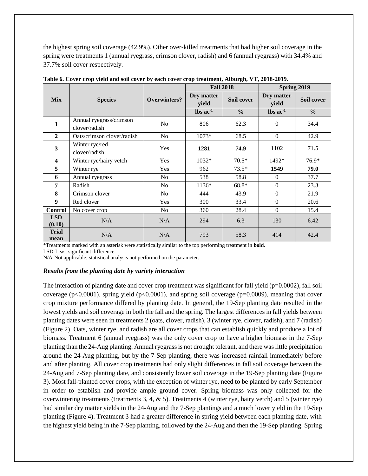the highest spring soil coverage (42.9%). Other over-killed treatments that had higher soil coverage in the spring were treatments 1 (annual ryegrass, crimson clover, radish) and 6 (annual ryegrass) with 34.4% and 37.7% soil cover respectively.

|                         |                                          |                | <b>Fall 2018</b>              |               | Spring 2019                   |               |  |
|-------------------------|------------------------------------------|----------------|-------------------------------|---------------|-------------------------------|---------------|--|
| <b>Mix</b>              | <b>Species</b>                           | Overwinters?   | Dry matter<br>yield           | Soil cover    | Dry matter<br>yield           | Soil cover    |  |
|                         |                                          |                | $\text{lbs}$ ac <sup>-1</sup> | $\frac{0}{0}$ | $\text{lbs}$ ac <sup>-1</sup> | $\frac{6}{6}$ |  |
| $\mathbf{1}$            | Annual ryegrass/crimson<br>clover/radish | No             | 806                           | 62.3          | $\mathbf{0}$                  | 34.4          |  |
| $\overline{2}$          | Oats/crimson clover/radish               | No             | $1073*$                       | 68.5          | $\mathbf{0}$                  | 42.9          |  |
| $\mathbf{3}$            | Winter rye/red<br>clover/radish          | Yes            | 1281                          | 74.9          | 1102                          | 71.5          |  |
| $\overline{\mathbf{4}}$ | Winter rye/hairy vetch                   | Yes            | 1032*                         | $70.5*$       | 1492*                         | 76.9*         |  |
| 5                       | Winter rye                               | Yes            | 962                           | $73.5*$       | 1549                          | 79.0          |  |
| 6                       | Annual ryegrass                          | N <sub>o</sub> | 538                           | 58.8          | $\Omega$                      | 37.7          |  |
| 7                       | Radish                                   | N <sub>o</sub> | 1136*                         | 68.8*         | $\Omega$                      | 23.3          |  |
| 8                       | Crimson clover                           | No             | 444                           | 43.9          | $\Omega$                      | 21.9          |  |
| 9                       | Red clover                               | Yes            | 300                           | 33.4          | $\Omega$                      | 20.6          |  |
| <b>Control</b>          | No cover crop                            | No             | 360                           | 28.4          | $\Omega$                      | 15.4          |  |
| <b>LSD</b><br>(0.10)    | N/A                                      | N/A            | 294                           | 6.3           | 130                           | 6.42          |  |
| <b>Trial</b><br>mean    | N/A                                      | N/A            | 793                           | 58.3          | 414                           | 42.4          |  |

**Table 6. Cover crop yield and soil cover by each cover crop treatment, Alburgh, VT, 2018-2019.** 

\*Treatments marked with an asterisk were statistically similar to the top performing treatment in **bold.**

LSD-Least significant difference.

N/A-Not applicable; statistical analysis not performed on the parameter.

## *Results from the planting date by variety interaction*

The interaction of planting date and cover crop treatment was significant for fall yield (p=0.0002), fall soil coverage (p<0.0001), spring yield (p<0.0001), and spring soil coverage (p=0.0009), meaning that cover crop mixture performance differed by planting date. In general, the 19-Sep planting date resulted in the lowest yields and soil coverage in both the fall and the spring. The largest differences in fall yields between planting dates were seen in treatments 2 (oats, clover, radish), 3 (winter rye, clover, radish), and 7 (radish) (Figure 2). Oats, winter rye, and radish are all cover crops that can establish quickly and produce a lot of biomass. Treatment 6 (annual ryegrass) was the only cover crop to have a higher biomass in the 7-Sep planting than the 24-Aug planting. Annual ryegrass is not drought tolerant, and there was little precipitation around the 24-Aug planting, but by the 7-Sep planting, there was increased rainfall immediately before and after planting. All cover crop treatments had only slight differences in fall soil coverage between the 24-Aug and 7-Sep planting date, and consistently lower soil coverage in the 19-Sep planting date (Figure 3). Most fall-planted cover crops, with the exception of winter rye, need to be planted by early September in order to establish and provide ample ground cover. Spring biomass was only collected for the overwintering treatments (treatments 3, 4, & 5). Treatments 4 (winter rye, hairy vetch) and 5 (winter rye) had similar dry matter yields in the 24-Aug and the 7-Sep plantings and a much lower yield in the 19-Sep planting (Figure 4). Treatment 3 had a greater difference in spring yield between each planting date, with the highest yield being in the 7-Sep planting, followed by the 24-Aug and then the 19-Sep planting. Spring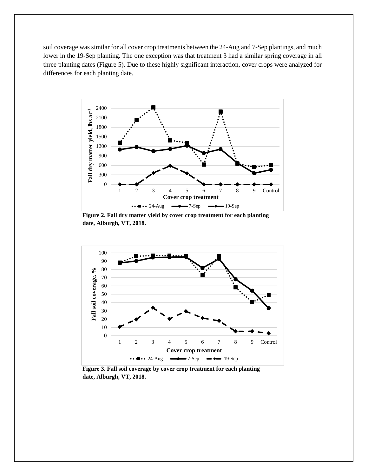soil coverage was similar for all cover crop treatments between the 24-Aug and 7-Sep plantings, and much lower in the 19-Sep planting. The one exception was that treatment 3 had a similar spring coverage in all three planting dates (Figure 5). Due to these highly significant interaction, cover crops were analyzed for differences for each planting date.



**Figure 2. Fall dry matter yield by cover crop treatment for each planting date, Alburgh, VT, 2018.**



**Figure 3. Fall soil coverage by cover crop treatment for each planting date, Alburgh, VT, 2018.**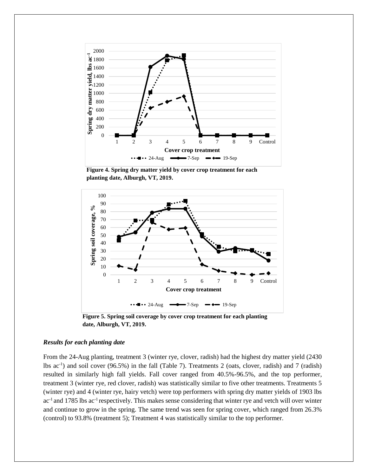

**Figure 4. Spring dry matter yield by cover crop treatment for each planting date, Alburgh, VT, 2019.**



**Figure 5. Spring soil coverage by cover crop treatment for each planting date, Alburgh, VT, 2019.**

### *Results for each planting date*

From the 24-Aug planting, treatment 3 (winter rye, clover, radish) had the highest dry matter yield (2430 lbs ac-1 ) and soil cover (96.5%) in the fall (Table 7). Treatments 2 (oats, clover, radish) and 7 (radish) resulted in similarly high fall yields. Fall cover ranged from 40.5%-96.5%, and the top performer, treatment 3 (winter rye, red clover, radish) was statistically similar to five other treatments. Treatments 5 (winter rye) and 4 (winter rye, hairy vetch) were top performers with spring dry matter yields of 1903 lbs ac<sup>-1</sup> and 1785 lbs ac<sup>-1</sup> respectively. This makes sense considering that winter rye and vetch will over winter and continue to grow in the spring. The same trend was seen for spring cover, which ranged from 26.3% (control) to 93.8% (treatment 5); Treatment 4 was statistically similar to the top performer.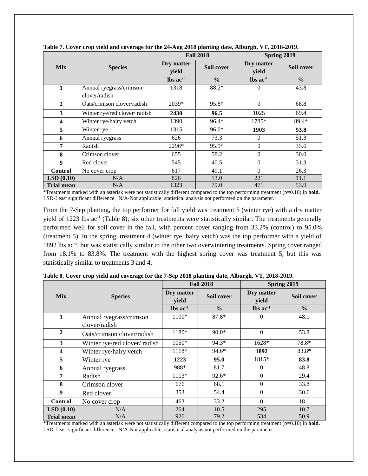|                         |                               |                     | <b>Fall 2018</b> | Spring 2019           |               |  |
|-------------------------|-------------------------------|---------------------|------------------|-----------------------|---------------|--|
| <b>Mix</b>              | <b>Species</b>                | Dry matter<br>yield | Soil cover       | Dry matter<br>yield   | Soil cover    |  |
|                         |                               | $\ln$ s ac $^{-1}$  | $\frac{0}{0}$    | $\ln$ ac <sup>1</sup> | $\frac{0}{0}$ |  |
| 1                       | Annual ryegrass/crimson       | 1318                | 88.2*            | $\theta$              | 43.8          |  |
|                         | clover/radish                 |                     |                  |                       |               |  |
| $\overline{2}$          | Oats/crimson clover/radish    | $2039*$             | 95.8*            | $\Omega$              | 68.8          |  |
| 3                       | Winter rye/red clover/ radish | 2430                | 96.5             | 1025                  | 69.4          |  |
| $\overline{\mathbf{4}}$ | Winter rye/hairy vetch        | 1390                | $96.4*$          | 1785*                 | 89.4*         |  |
| 5                       | Winter rye                    | 1315                | $96.0*$          | 1903                  | 93.8          |  |
| 6                       | Annual ryegrass               | 626                 | 73.3             | $\Omega$              | 51.3          |  |
| 7                       | Radish                        | 2296*               | $95.9*$          | $\mathbf{0}$          | 35.6          |  |
| 8                       | Crimson clover                | 655                 | 58.2             | $\Omega$              | 30.0          |  |
| 9                       | Red clover                    | 545                 | 40.5             | $\Omega$              | 31.3          |  |
| <b>Control</b>          | No cover crop                 | 617                 | 49.1             | $\Omega$              | 26.3          |  |
| LSD(0.10)               | N/A                           | 826                 | 13.0             | 221                   | 11.1          |  |
| <b>Trial mean</b>       | N/A                           | 1323                | 79.0             | 471                   | 53.9          |  |

**Table 7. Cover crop yield and coverage for the 24-Aug 2018 planting date, Alburgh, VT, 2018-2019.** 

\*Treatments marked with an asterisk were not statistically different compared to the top performing treatment (p=0.10) in **bold.** LSD-Least significant difference. N/A-Not applicable; statistical analysis not performed on the parameter.

From the 7-Sep planting, the top performer for fall yield was treatment 5 (winter rye) with a dry matter yield of 1223 lbs ac<sup>-1</sup> (Table 8); six other treatments were statistically similar. The treatments generally performed well for soil cover in the fall, with percent cover ranging from 33.2% (control) to 95.0% (treatment 5). In the spring, treatment 4 (winter rye, hairy vetch) was the top performer with a yield of 1892 lbs ac<sup>-1</sup>, but was statistically similar to the other two overwintering treatments. Spring cover ranged from 18.1% to 83.8%. The treatment with the highest spring cover was treatment 5, but this was statistically similar to treatments 3 and 4.

|                         |                                          |                               | <b>Fall 2018</b> | Spring 2019                   |               |  |
|-------------------------|------------------------------------------|-------------------------------|------------------|-------------------------------|---------------|--|
| <b>Mix</b>              | <b>Species</b>                           | Dry matter<br>yield           | Soil cover       | Dry matter<br>yield           | Soil cover    |  |
|                         |                                          | $\text{lbs}$ ac <sup>-1</sup> | $\frac{0}{0}$    | $\text{lbs}$ ac <sup>-1</sup> | $\frac{0}{0}$ |  |
| 1                       | Annual ryegrass/crimson<br>clover/radish | 1100*                         | 87.8*            | $\mathbf{0}$                  | 48.1          |  |
| $\overline{2}$          | Oats/crimson clover/radish               | 1180*                         | $90.0*$          | $\mathbf{0}$                  | 53.8          |  |
| $\mathbf{3}$            | Winter rye/red clover/ radish            | 1050*                         | 94.3*            | 1628*                         | 78.8*         |  |
| $\overline{\mathbf{4}}$ | Winter rye/hairy vetch                   | 1118*                         | 94.6*            | 1892                          | 83.8*         |  |
| 5                       | Winter rye                               | 1223                          | 95.0             | 1815*                         | 83.8          |  |
| 6                       | Annual ryegrass                          | 988*                          | 81.7             | $\Omega$                      | 48.8          |  |
| $\overline{7}$          | Radish                                   | 1113*                         | $92.6*$          | $\boldsymbol{0}$              | 29.4          |  |
| 8                       | Crimson clover                           | 676                           | 68.1             | $\boldsymbol{0}$              | 33.8          |  |
| 9                       | Red clover                               | 353                           | 54.4             | $\Omega$                      | 30.6          |  |
| <b>Control</b>          | No cover crop                            | 463                           | 33.2             | $\Omega$                      | 18.1          |  |
| LSD(0.10)               | N/A                                      | 264                           | 10.5             | 295                           | 10.7          |  |
| <b>Trial mean</b>       | N/A                                      | 926                           | 79.2             | 534                           | 50.9          |  |

**Table 8. Cover crop yield and coverage for the 7-Sep 2018 planting date, Alburgh, VT, 2018-2019.** 

\*Treatments marked with an asterisk were not statistically different compared to the top performing treatment (p=0.10) in **bold.** LSD-Least significant difference. N/A-Not applicable; statistical analysis not performed on the parameter.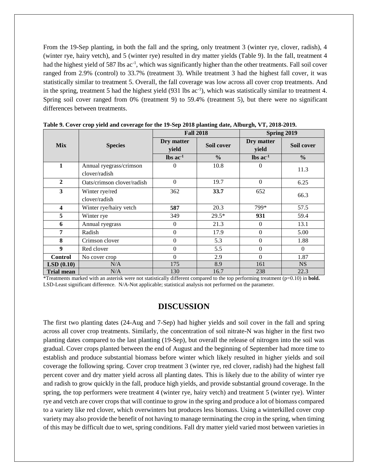From the 19-Sep planting, in both the fall and the spring, only treatment 3 (winter rye, clover, radish), 4 (winter rye, hairy vetch), and 5 (winter rye) resulted in dry matter yields (Table 9). In the fall, treatment 4 had the highest yield of 587 lbs ac<sup>-1</sup>, which was significantly higher than the other treatments. Fall soil cover ranged from 2.9% (control) to 33.7% (treatment 3). While treatment 3 had the highest fall cover, it was statistically similar to treatment 5. Overall, the fall coverage was low across all cover crop treatments. And in the spring, treatment 5 had the highest yield  $(931 \text{ lbs } ac^{-1})$ , which was statistically similar to treatment 4. Spring soil cover ranged from 0% (treatment 9) to 59.4% (treatment 5), but there were no significant differences between treatments.

|                   | <b>Species</b>                           | <b>Fall 2018</b>              |               | Spring 2019                   |               |  |
|-------------------|------------------------------------------|-------------------------------|---------------|-------------------------------|---------------|--|
| <b>Mix</b>        |                                          | Dry matter<br>yield           | Soil cover    | Dry matter<br>yield           | Soil cover    |  |
|                   |                                          | $\text{lbs}$ ac <sup>-1</sup> | $\frac{0}{0}$ | $\text{lbs}$ ac <sup>-1</sup> | $\frac{0}{0}$ |  |
| 1                 | Annual ryegrass/crimson<br>clover/radish | 0                             | 10.8          | $\Omega$                      | 11.3          |  |
| $\overline{2}$    | Oats/crimson clover/radish               | $\theta$                      | 19.7          | $\Omega$                      | 6.25          |  |
| 3                 | Winter rye/red<br>clover/radish          | 362                           | 33.7          | 652                           | 66.3          |  |
| 4                 | Winter rye/hairy vetch                   | 587                           | 20.3          | 799*                          | 57.5          |  |
| 5                 | Winter rye                               | 349                           | $29.5*$       | 931                           | 59.4          |  |
| 6                 | Annual ryegrass                          | $\Omega$                      | 21.3          | $\Omega$                      | 13.1          |  |
| $\overline{7}$    | Radish                                   | $\theta$                      | 17.9          | $\Omega$                      | 5.00          |  |
| 8                 | Crimson clover                           | $\boldsymbol{0}$              | 5.3           | $\boldsymbol{0}$              | 1.88          |  |
| 9                 | Red clover                               | $\theta$                      | 5.5           | $\Omega$                      | $\Omega$      |  |
| <b>Control</b>    | No cover crop                            | $\Omega$                      | 2.9           | $\Omega$                      | 1.87          |  |
| LSD(0.10)         | N/A                                      | 175                           | 8.9           | 161                           | <b>NS</b>     |  |
| <b>Trial mean</b> | N/A                                      | 130                           | 16.7          | 238                           | 22.3          |  |

**Table 9. Cover crop yield and coverage for the 19-Sep 2018 planting date, Alburgh, VT, 2018-2019.** 

\*Treatments marked with an asterisk were not statistically different compared to the top performing treatment (p=0.10) in **bold.** LSD-Least significant difference. N/A-Not applicable; statistical analysis not performed on the parameter.

## **DISCUSSION**

The first two planting dates (24-Aug and 7-Sep) had higher yields and soil cover in the fall and spring across all cover crop treatments. Similarly, the concentration of soil nitrate-N was higher in the first two planting dates compared to the last planting (19-Sep), but overall the release of nitrogen into the soil was gradual. Cover crops planted between the end of August and the beginning of September had more time to establish and produce substantial biomass before winter which likely resulted in higher yields and soil coverage the following spring. Cover crop treatment 3 (winter rye, red clover, radish) had the highest fall percent cover and dry matter yield across all planting dates. This is likely due to the ability of winter rye and radish to grow quickly in the fall, produce high yields, and provide substantial ground coverage. In the spring, the top performers were treatment 4 (winter rye, hairy vetch) and treatment 5 (winter rye). Winter rye and vetch are cover crops that will continue to grow in the spring and produce a lot of biomass compared to a variety like red clover, which overwinters but produces less biomass. Using a winterkilled cover crop variety may also provide the benefit of not having to manage terminating the crop in the spring, when timing of this may be difficult due to wet, spring conditions. Fall dry matter yield varied most between varieties in